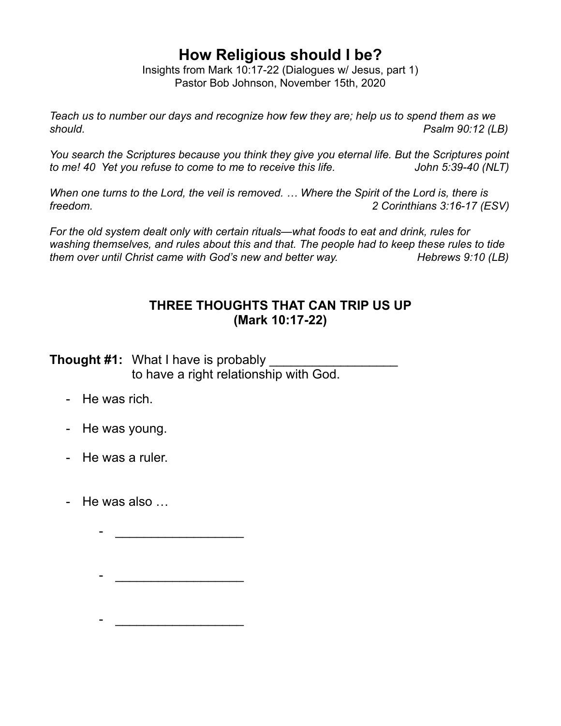## **How Religious should I be?**

Insights from Mark 10:17-22 (Dialogues w/ Jesus, part 1) Pastor Bob Johnson, November 15th, 2020

*Teach us to number our days and recognize how few they are; help us to spend them as we should. Psalm 90:12 (LB)* 

*You search the Scriptures because you think they give you eternal life. But the Scriptures point to me!* 40 Yet you refuse to come to me to receive this life. John 5:39-40 (NLT)

*When one turns to the Lord, the veil is removed. … Where the Spirit of the Lord is, there is freedom. 2 Corinthians 3:16-17 (ESV)* 

*For the old system dealt only with certain rituals—what foods to eat and drink, rules for washing themselves, and rules about this and that. The people had to keep these rules to tide them over until Christ came with God's new and better way.* Hebrews 9:10 (LB)

## **THREE THOUGHTS THAT CAN TRIP US UP (Mark 10:17-22)**

**Thought #1:** What I have is probably to have a right relationship with God.

- He was rich.
- He was young.
- He was a ruler.
- He was also …

 - \_\_\_\_\_\_\_\_\_\_\_\_\_\_\_\_\_\_ - \_\_\_\_\_\_\_\_\_\_\_\_\_\_\_\_\_\_

- \_\_\_\_\_\_\_\_\_\_\_\_\_\_\_\_\_\_